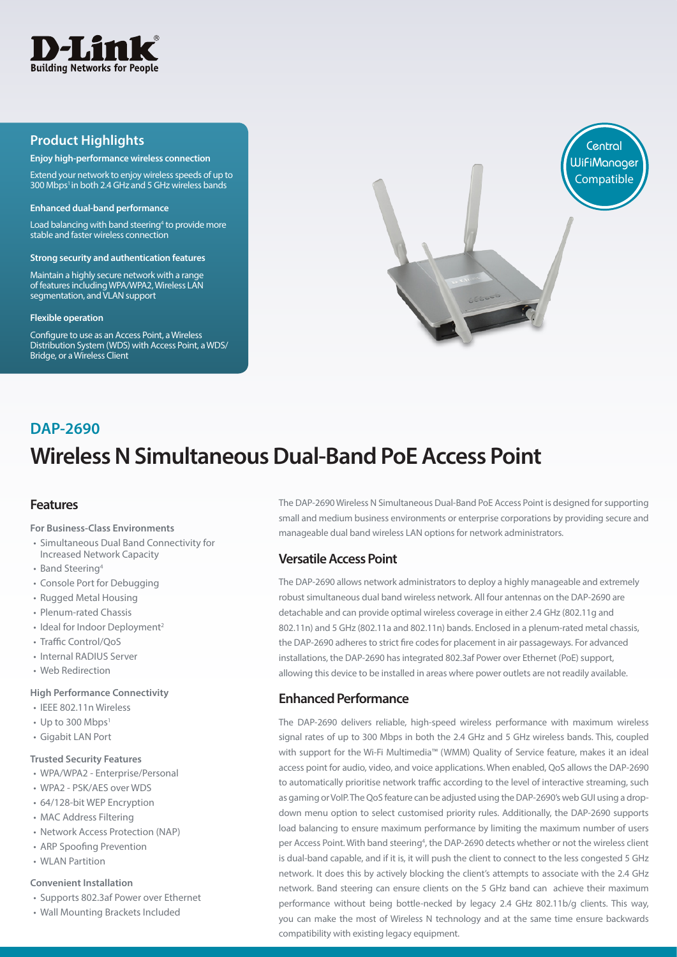

#### **Enjoy high-performance wireless connection**

Extend your network to enjoy wireless speeds of up to 300 Mbps1 in both 2.4 GHz and 5 GHz wireless bands

#### **Enhanced dual-band performance**

Load balancing with band steering<sup>4</sup> to provide more stable and faster wireless connection

#### **Strong security and authentication features**

Maintain a highly secure network with a range of features including WPA/WPA2, Wireless LAN segmentation, and VLAN support

#### **Flexible operation**

Configure to use as an Access Point, a Wireless Distribution System (WDS) with Access Point, a WDS/ Bridge, or a Wireless Client



# **Wireless N Simultaneous Dual-Band PoE Access Point DAP-2690**

#### **Features**

#### **For Business-Class Environments**

- Simultaneous Dual Band Connectivity for Increased Network Capacity
- Band Steering4
- Console Port for Debugging
- Rugged Metal Housing
- Plenum-rated Chassis
- Ideal for Indoor Deployment<sup>2</sup>
- Traffic Control/QoS
- Internal RADIUS Server
- Web Redirection

#### **High Performance Connectivity**

- IEEE 802.11n Wireless
- Up to 300 Mbps<sup>1</sup>
- Gigabit LAN Port

#### **Trusted Security Features**

- WPA/WPA2 Enterprise/Personal
- WPA2 PSK/AES over WDS
- 64/128-bit WEP Encryption
- MAC Address Filtering
- Network Access Protection (NAP)
- ARP Spoofing Prevention
- WLAN Partition

#### **Convenient Installation**

- Supports 802.3af Power over Ethernet
- Wall Mounting Brackets Included

The DAP-2690 Wireless N Simultaneous Dual-Band PoE Access Point is designed for supporting small and medium business environments or enterprise corporations by providing secure and manageable dual band wireless LAN options for network administrators.

#### **Versatile Access Point**

The DAP-2690 allows network administrators to deploy a highly manageable and extremely robust simultaneous dual band wireless network. All four antennas on the DAP-2690 are detachable and can provide optimal wireless coverage in either 2.4 GHz (802.11g and 802.11n) and 5 GHz (802.11a and 802.11n) bands. Enclosed in a plenum-rated metal chassis, the DAP-2690 adheres to strict fire codes for placement in air passageways. For advanced installations, the DAP-2690 has integrated 802.3af Power over Ethernet (PoE) support, allowing this device to be installed in areas where power outlets are not readily available.

### **Enhanced Performance**

The DAP-2690 delivers reliable, high-speed wireless performance with maximum wireless signal rates of up to 300 Mbps in both the 2.4 GHz and 5 GHz wireless bands. This, coupled with support for the Wi-Fi Multimedia™ (WMM) Quality of Service feature, makes it an ideal access point for audio, video, and voice applications. When enabled, QoS allows the DAP-2690 to automatically prioritise network traffic according to the level of interactive streaming, such as gaming or VoIP. The QoS feature can be adjusted using the DAP-2690's web GUI using a dropdown menu option to select customised priority rules. Additionally, the DAP-2690 supports load balancing to ensure maximum performance by limiting the maximum number of users per Access Point. With band steering<sup>4</sup>, the DAP-2690 detects whether or not the wireless client is dual-band capable, and if it is, it will push the client to connect to the less congested 5 GHz network. It does this by actively blocking the client's attempts to associate with the 2.4 GHz network. Band steering can ensure clients on the 5 GHz band can achieve their maximum performance without being bottle-necked by legacy 2.4 GHz 802.11b/g clients. This way, you can make the most of Wireless N technology and at the same time ensure backwards compatibility with existing legacy equipment.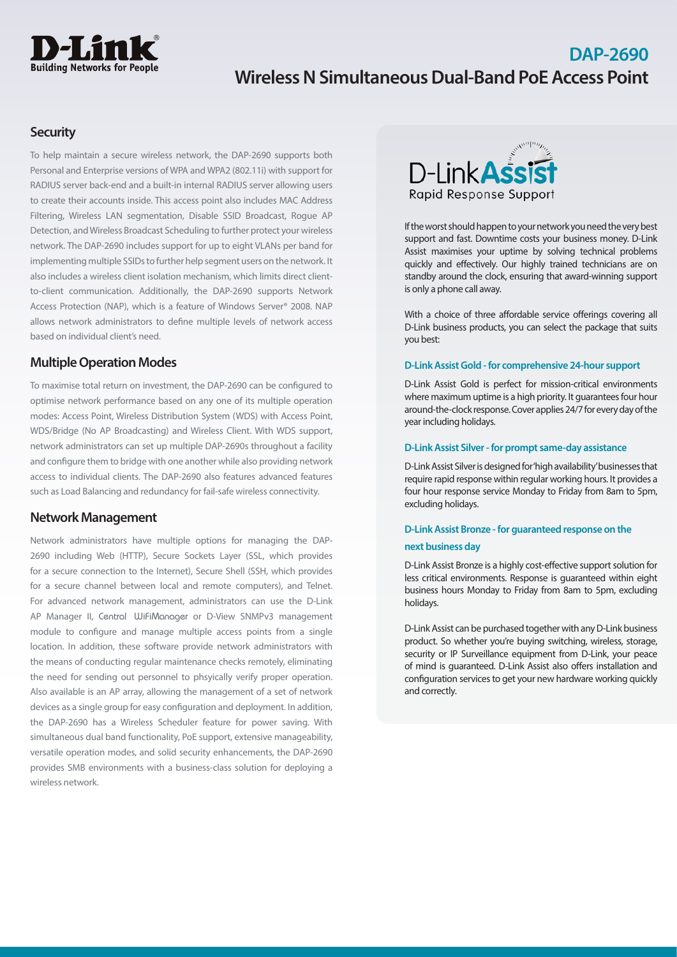

## **DAP-2690 Wireless N Simultaneous Dual-Band PoE Access Point**

### **Security**

To help maintain a secure wireless network, the DAP-2690 supports both Personal and Enterprise versions of WPA and WPA2 (802.11i) with support for RADIUS server back-end and a built-in internal RADIUS server allowing users to create their accounts inside. This access point also includes MAC Address Filtering, Wireless LAN segmentation, Disable SSID Broadcast, Rogue AP Detection, and Wireless Broadcast Scheduling to further protect your wireless network. The DAP-2690 includes support for up to eight VLANs per band for implementing multiple SSIDs to further help segment users on the network. It also includes a wireless client isolation mechanism, which limits direct clientto-client communication. Additionally, the DAP-2690 supports Network Access Protection (NAP), which is a feature of Windows Server® 2008. NAP allows network administrators to define multiple levels of network access based on individual client's need.

#### **Multiple Operation Modes**

To maximise total return on investment, the DAP-2690 can be configured to optimise network performance based on any one of its multiple operation modes: Access Point, Wireless Distribution System (WDS) with Access Point, WDS/Bridge (No AP Broadcasting) and Wireless Client. With WDS support, network administrators can set up multiple DAP-2690s throughout a facility and configure them to bridge with one another while also providing network access to individual clients. The DAP-2690 also features advanced features such as Load Balancing and redundancy for fail-safe wireless connectivity.

#### **Network Management**

Network administrators have multiple options for managing the DAP-2690 including Web (HTTP), Secure Sockets Layer (SSL, which provides for a secure connection to the Internet), Secure Shell (SSH, which provides for a secure channel between local and remote computers), and Telnet. For advanced network management, administrators can use the D-Link AP Manager II, Central WiFiManager or D-View SNMPv3 management module to configure and manage multiple access points from a single location. In addition, these software provide network administrators with the means of conducting regular maintenance checks remotely, eliminating the need for sending out personnel to phsyically verify proper operation. Also available is an AP array, allowing the management of a set of network devices as a single group for easy configuration and deployment. In addition, the DAP-2690 has a Wireless Scheduler feature for power saving. With simultaneous dual band functionality, PoE support, extensive manageability, versatile operation modes, and solid security enhancements, the DAP-2690 provides SMB environments with a business-class solution for deploying a wireless network.



If the worst should happen to your network you need the very best support and fast. Downtime costs your business money. D-Link Assist maximises your uptime by solving technical problems quickly and effectively. Our highly trained technicians are on standby around the clock, ensuring that award-winning support is only a phone call away.

With a choice of three affordable service offerings covering all D-Link business products, you can select the package that suits you best:

#### **D-Link Assist Gold - for comprehensive 24-hour support**

D-Link Assist Gold is perfect for mission-critical environments where maximum uptime is a high priority. It guarantees four hour around-the-clock response. Cover applies 24/7 for every day of the year including holidays.

#### **D-Link Assist Silver - for prompt same-day assistance**

D-Link Assist Silver is designed for 'high availability' businesses that require rapid response within regular working hours. It provides a four hour response service Monday to Friday from 8am to 5pm, excluding holidays.

#### **D-Link Assist Bronze - for guaranteed response on the next business day**

D-Link Assist Bronze is a highly cost-effective support solution for less critical environments. Response is guaranteed within eight business hours Monday to Friday from 8am to 5pm, excluding holidays.

D-Link Assist can be purchased together with any D-Link business product. So whether you're buying switching, wireless, storage, security or IP Surveillance equipment from D-Link, your peace of mind is guaranteed. D-Link Assist also offers installation and configuration services to get your new hardware working quickly and correctly.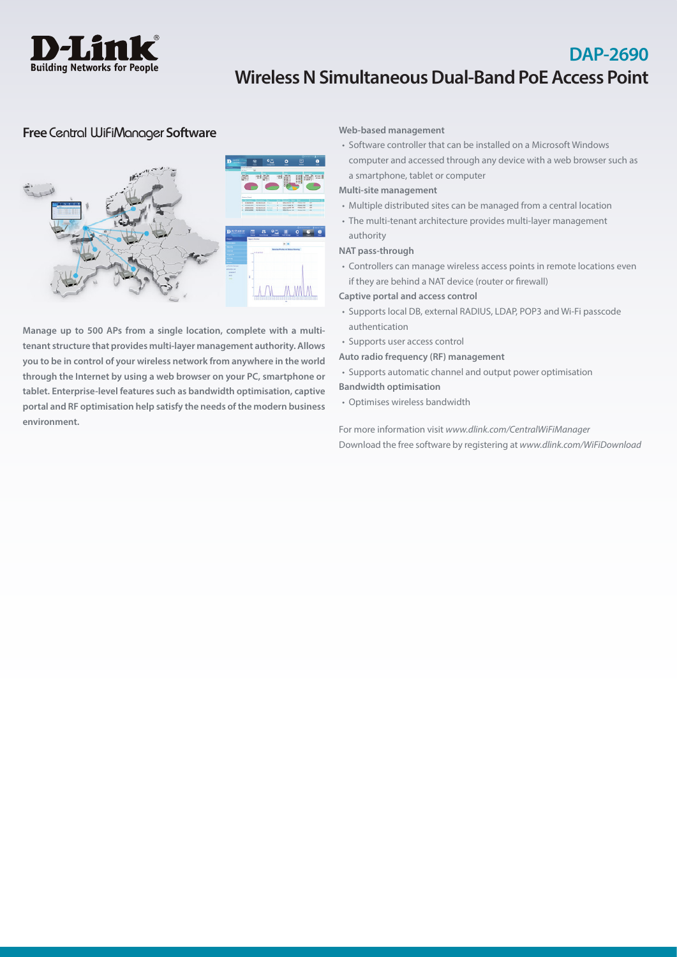

# **DAP-2690 Wireless N Simultaneous Dual-Band PoE Access Point**

#### **Free** Central WiFiManager **Software**



**Manage up to 500 APs from a single location, complete with a multitenant structure that provides multi-layer management authority. Allows you to be in control of your wireless network from anywhere in the world through the Internet by using a web browser on your PC, smartphone or tablet. Enterprise-level features such as bandwidth optimisation, captive portal and RF optimisation help satisfy the needs of the modern business environment.**

#### **Web-based management**

• Software controller that can be installed on a Microsoft Windows computer and accessed through any device with a web browser such as a smartphone, tablet or computer

#### **Multi-site management**

- Multiple distributed sites can be managed from a central location
- The multi-tenant architecture provides multi-layer management

#### **NAT pass-through**

authority

• Controllers can manage wireless access points in remote locations even if they are behind a NAT device (router or firewall)

#### **Captive portal and access control**

- Supports local DB, external RADIUS, LDAP, POP3 and Wi-Fi passcode authentication
- Supports user access control
- **Auto radio frequency (RF) management**
- Supports automatic channel and output power optimisation **Bandwidth optimisation**
- Optimises wireless bandwidth

For more information visit *www.dlink.com/CentralWiFiManager* Download the free software by registering at *www.dlink.com/WiFiDownload*